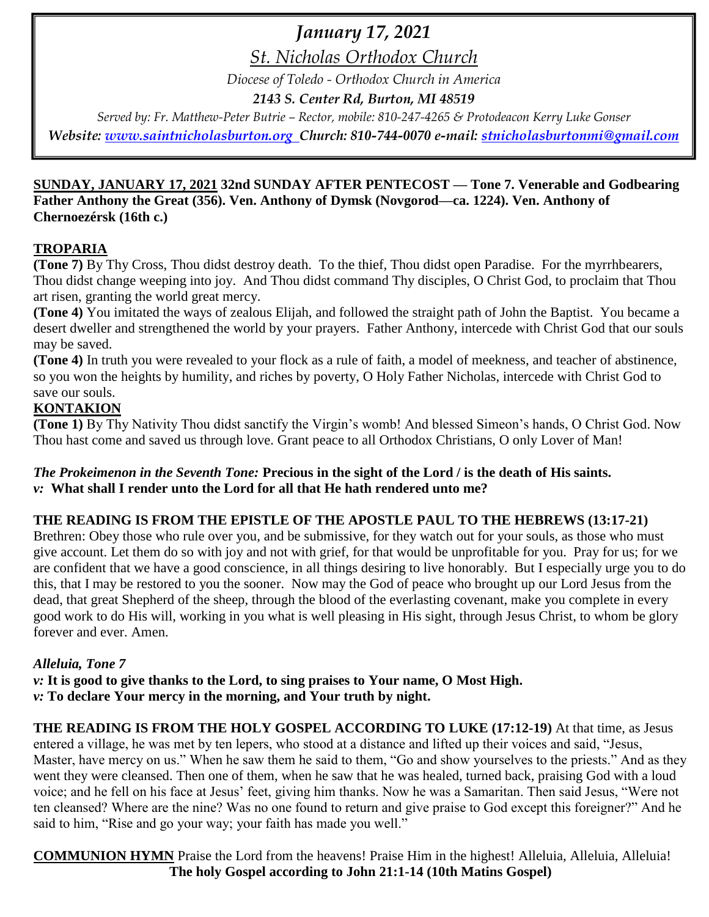# *January 17, 2021*

*St. Nicholas Orthodox Church*

*Diocese of Toledo - Orthodox Church in America*

*2143 S. Center Rd, Burton, MI 48519*

*Served by: Fr. Matthew-Peter Butrie – Rector, mobile: 810-247-4265 & Protodeacon Kerry Luke Gonser Website: [www.saintnicholasburton.org](http://www.saintnicholasburton.org/) Church: 810-744-0070 e-mail: [stnicholasburtonmi@gmail.com](mailto:stnicholasburtonmi@gmail.com)*

#### **SUNDAY, JANUARY 17, 2021 32nd SUNDAY AFTER PENTECOST — Tone 7. Venerable and Godbearing Father Anthony the Great (356). Ven. Anthony of Dymsk (Novgorod—ca. 1224). Ven. Anthony of Chernoezérsk (16th c.)**

## **TROPARIA**

**(Tone 7)** By Thy Cross, Thou didst destroy death. To the thief, Thou didst open Paradise. For the myrrhbearers, Thou didst change weeping into joy. And Thou didst command Thy disciples, O Christ God, to proclaim that Thou art risen, granting the world great mercy.

**(Tone 4)** You imitated the ways of zealous Elijah, and followed the straight path of John the Baptist. You became a desert dweller and strengthened the world by your prayers. Father Anthony, intercede with Christ God that our souls may be saved.

**(Tone 4)** In truth you were revealed to your flock as a rule of faith, a model of meekness, and teacher of abstinence, so you won the heights by humility, and riches by poverty, O Holy Father Nicholas, intercede with Christ God to save our souls.

### **KONTAKION**

**(Tone 1)** By Thy Nativity Thou didst sanctify the Virgin's womb! And blessed Simeon's hands, O Christ God. Now Thou hast come and saved us through love. Grant peace to all Orthodox Christians, O only Lover of Man!

#### *The Prokeimenon in the Seventh Tone:* **Precious in the sight of the Lord / is the death of His saints.** *v:* **What shall I render unto the Lord for all that He hath rendered unto me?**

### **THE READING IS FROM THE EPISTLE OF THE APOSTLE PAUL TO THE HEBREWS (13:17-21)**

Brethren: Obey those who rule over you, and be submissive, for they watch out for your souls, as those who must give account. Let them do so with joy and not with grief, for that would be unprofitable for you. Pray for us; for we are confident that we have a good conscience, in all things desiring to live honorably. But I especially urge you to do this, that I may be restored to you the sooner. Now may the God of peace who brought up our Lord Jesus from the dead, that great Shepherd of the sheep, through the blood of the everlasting covenant, make you complete in every good work to do His will, working in you what is well pleasing in His sight, through Jesus Christ, to whom be glory forever and ever. Amen.

#### *Alleluia, Tone 7*

*v:* **It is good to give thanks to the Lord, to sing praises to Your name, O Most High.**  *v:* **To declare Your mercy in the morning, and Your truth by night.** 

**THE READING IS FROM THE HOLY GOSPEL ACCORDING TO LUKE (17:12-19)** At that time, as Jesus entered a village, he was met by ten lepers, who stood at a distance and lifted up their voices and said, "Jesus, Master, have mercy on us." When he saw them he said to them, "Go and show yourselves to the priests." And as they went they were cleansed. Then one of them, when he saw that he was healed, turned back, praising God with a loud voice; and he fell on his face at Jesus' feet, giving him thanks. Now he was a Samaritan. Then said Jesus, "Were not ten cleansed? Where are the nine? Was no one found to return and give praise to God except this foreigner?" And he said to him, "Rise and go your way; your faith has made you well."

**COMMUNION HYMN** Praise the Lord from the heavens! Praise Him in the highest! Alleluia, Alleluia, Alleluia! **The holy Gospel according to John 21:1-14 (10th Matins Gospel)**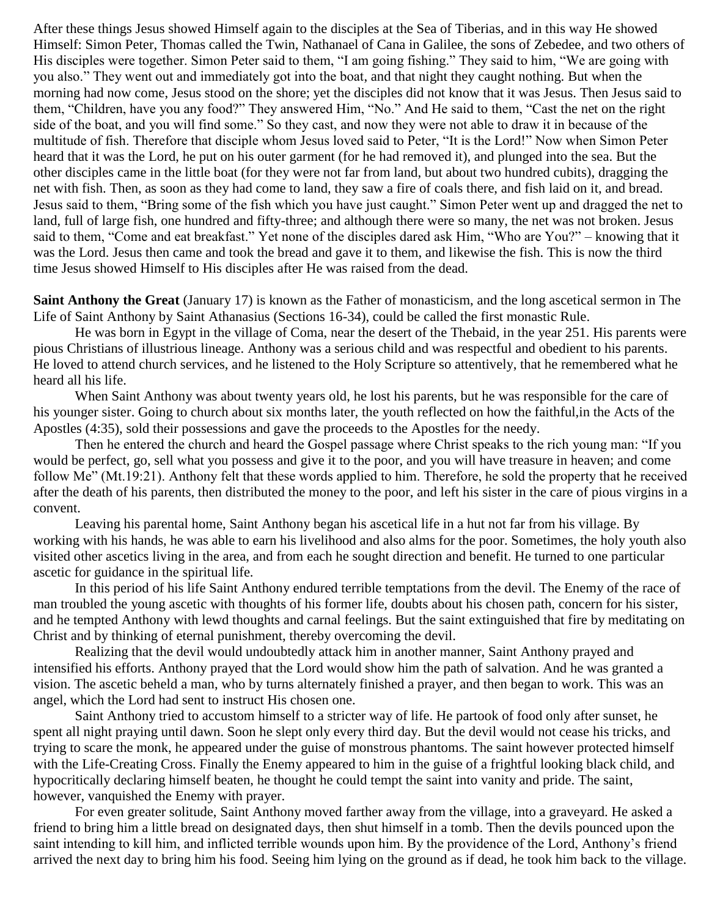After these things Jesus showed Himself again to the disciples at the Sea of Tiberias, and in this way He showed Himself: Simon Peter, Thomas called the Twin, Nathanael of Cana in Galilee, the sons of Zebedee, and two others of His disciples were together. Simon Peter said to them, "I am going fishing." They said to him, "We are going with you also." They went out and immediately got into the boat, and that night they caught nothing. But when the morning had now come, Jesus stood on the shore; yet the disciples did not know that it was Jesus. Then Jesus said to them, "Children, have you any food?" They answered Him, "No." And He said to them, "Cast the net on the right side of the boat, and you will find some." So they cast, and now they were not able to draw it in because of the multitude of fish. Therefore that disciple whom Jesus loved said to Peter, "It is the Lord!" Now when Simon Peter heard that it was the Lord, he put on his outer garment (for he had removed it), and plunged into the sea. But the other disciples came in the little boat (for they were not far from land, but about two hundred cubits), dragging the net with fish. Then, as soon as they had come to land, they saw a fire of coals there, and fish laid on it, and bread. Jesus said to them, "Bring some of the fish which you have just caught." Simon Peter went up and dragged the net to land, full of large fish, one hundred and fifty-three; and although there were so many, the net was not broken. Jesus said to them, "Come and eat breakfast." Yet none of the disciples dared ask Him, "Who are You?" – knowing that it was the Lord. Jesus then came and took the bread and gave it to them, and likewise the fish. This is now the third time Jesus showed Himself to His disciples after He was raised from the dead.

**Saint Anthony the Great** (January 17) is known as the Father of monasticism, and the long ascetical sermon in The Life of Saint Anthony by Saint Athanasius (Sections 16-34), could be called the first monastic Rule.

He was born in Egypt in the village of Coma, near the desert of the Thebaid, in the year 251. His parents were pious Christians of illustrious lineage. Anthony was a serious child and was respectful and obedient to his parents. He loved to attend church services, and he listened to the Holy Scripture so attentively, that he remembered what he heard all his life.

When Saint Anthony was about twenty years old, he lost his parents, but he was responsible for the care of his younger sister. Going to church about six months later, the youth reflected on how the faithful,in the Acts of the Apostles (4:35), sold their possessions and gave the proceeds to the Apostles for the needy.

Then he entered the church and heard the Gospel passage where Christ speaks to the rich young man: "If you would be perfect, go, sell what you possess and give it to the poor, and you will have treasure in heaven; and come follow Me" (Mt.19:21). Anthony felt that these words applied to him. Therefore, he sold the property that he received after the death of his parents, then distributed the money to the poor, and left his sister in the care of pious virgins in a convent.

Leaving his parental home, Saint Anthony began his ascetical life in a hut not far from his village. By working with his hands, he was able to earn his livelihood and also alms for the poor. Sometimes, the holy youth also visited other ascetics living in the area, and from each he sought direction and benefit. He turned to one particular ascetic for guidance in the spiritual life.

In this period of his life Saint Anthony endured terrible temptations from the devil. The Enemy of the race of man troubled the young ascetic with thoughts of his former life, doubts about his chosen path, concern for his sister, and he tempted Anthony with lewd thoughts and carnal feelings. But the saint extinguished that fire by meditating on Christ and by thinking of eternal punishment, thereby overcoming the devil.

Realizing that the devil would undoubtedly attack him in another manner, Saint Anthony prayed and intensified his efforts. Anthony prayed that the Lord would show him the path of salvation. And he was granted a vision. The ascetic beheld a man, who by turns alternately finished a prayer, and then began to work. This was an angel, which the Lord had sent to instruct His chosen one.

Saint Anthony tried to accustom himself to a stricter way of life. He partook of food only after sunset, he spent all night praying until dawn. Soon he slept only every third day. But the devil would not cease his tricks, and trying to scare the monk, he appeared under the guise of monstrous phantoms. The saint however protected himself with the Life-Creating Cross. Finally the Enemy appeared to him in the guise of a frightful looking black child, and hypocritically declaring himself beaten, he thought he could tempt the saint into vanity and pride. The saint, however, vanquished the Enemy with prayer.

For even greater solitude, Saint Anthony moved farther away from the village, into a graveyard. He asked a friend to bring him a little bread on designated days, then shut himself in a tomb. Then the devils pounced upon the saint intending to kill him, and inflicted terrible wounds upon him. By the providence of the Lord, Anthony's friend arrived the next day to bring him his food. Seeing him lying on the ground as if dead, he took him back to the village.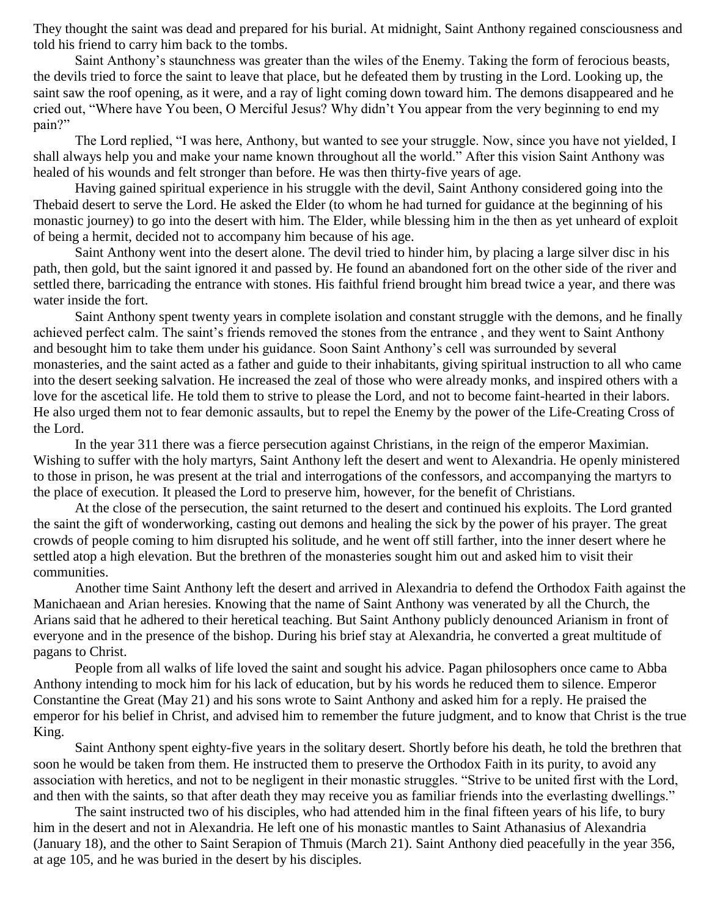They thought the saint was dead and prepared for his burial. At midnight, Saint Anthony regained consciousness and told his friend to carry him back to the tombs.

Saint Anthony's staunchness was greater than the wiles of the Enemy. Taking the form of ferocious beasts, the devils tried to force the saint to leave that place, but he defeated them by trusting in the Lord. Looking up, the saint saw the roof opening, as it were, and a ray of light coming down toward him. The demons disappeared and he cried out, "Where have You been, O Merciful Jesus? Why didn't You appear from the very beginning to end my pain?"

The Lord replied, "I was here, Anthony, but wanted to see your struggle. Now, since you have not yielded, I shall always help you and make your name known throughout all the world." After this vision Saint Anthony was healed of his wounds and felt stronger than before. He was then thirty-five years of age.

Having gained spiritual experience in his struggle with the devil, Saint Anthony considered going into the Thebaid desert to serve the Lord. He asked the Elder (to whom he had turned for guidance at the beginning of his monastic journey) to go into the desert with him. The Elder, while blessing him in the then as yet unheard of exploit of being a hermit, decided not to accompany him because of his age.

Saint Anthony went into the desert alone. The devil tried to hinder him, by placing a large silver disc in his path, then gold, but the saint ignored it and passed by. He found an abandoned fort on the other side of the river and settled there, barricading the entrance with stones. His faithful friend brought him bread twice a year, and there was water inside the fort.

Saint Anthony spent twenty years in complete isolation and constant struggle with the demons, and he finally achieved perfect calm. The saint's friends removed the stones from the entrance , and they went to Saint Anthony and besought him to take them under his guidance. Soon Saint Anthony's cell was surrounded by several monasteries, and the saint acted as a father and guide to their inhabitants, giving spiritual instruction to all who came into the desert seeking salvation. He increased the zeal of those who were already monks, and inspired others with a love for the ascetical life. He told them to strive to please the Lord, and not to become faint-hearted in their labors. He also urged them not to fear demonic assaults, but to repel the Enemy by the power of the Life-Creating Cross of the Lord.

In the year 311 there was a fierce persecution against Christians, in the reign of the emperor Maximian. Wishing to suffer with the holy martyrs, Saint Anthony left the desert and went to Alexandria. He openly ministered to those in prison, he was present at the trial and interrogations of the confessors, and accompanying the martyrs to the place of execution. It pleased the Lord to preserve him, however, for the benefit of Christians.

At the close of the persecution, the saint returned to the desert and continued his exploits. The Lord granted the saint the gift of wonderworking, casting out demons and healing the sick by the power of his prayer. The great crowds of people coming to him disrupted his solitude, and he went off still farther, into the inner desert where he settled atop a high elevation. But the brethren of the monasteries sought him out and asked him to visit their communities.

Another time Saint Anthony left the desert and arrived in Alexandria to defend the Orthodox Faith against the Manichaean and Arian heresies. Knowing that the name of Saint Anthony was venerated by all the Church, the Arians said that he adhered to their heretical teaching. But Saint Anthony publicly denounced Arianism in front of everyone and in the presence of the bishop. During his brief stay at Alexandria, he converted a great multitude of pagans to Christ.

People from all walks of life loved the saint and sought his advice. Pagan philosophers once came to Abba Anthony intending to mock him for his lack of education, but by his words he reduced them to silence. Emperor Constantine the Great (May 21) and his sons wrote to Saint Anthony and asked him for a reply. He praised the emperor for his belief in Christ, and advised him to remember the future judgment, and to know that Christ is the true King.

Saint Anthony spent eighty-five years in the solitary desert. Shortly before his death, he told the brethren that soon he would be taken from them. He instructed them to preserve the Orthodox Faith in its purity, to avoid any association with heretics, and not to be negligent in their monastic struggles. "Strive to be united first with the Lord, and then with the saints, so that after death they may receive you as familiar friends into the everlasting dwellings."

The saint instructed two of his disciples, who had attended him in the final fifteen years of his life, to bury him in the desert and not in Alexandria. He left one of his monastic mantles to Saint Athanasius of Alexandria (January 18), and the other to Saint Serapion of Thmuis (March 21). Saint Anthony died peacefully in the year 356, at age 105, and he was buried in the desert by his disciples.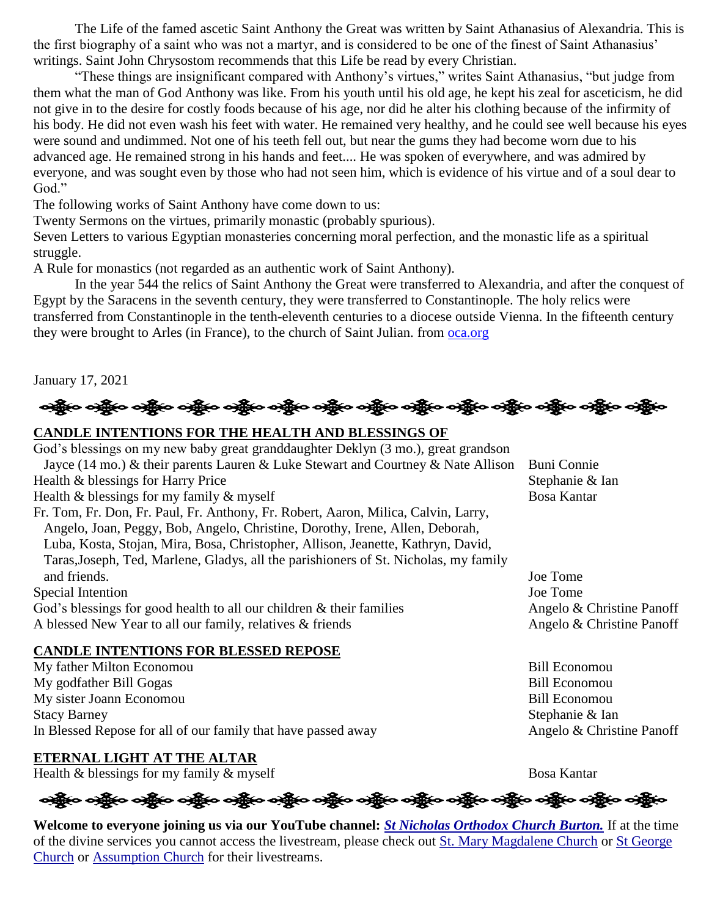The Life of the famed ascetic Saint Anthony the Great was written by Saint Athanasius of Alexandria. This is the first biography of a saint who was not a martyr, and is considered to be one of the finest of Saint Athanasius' writings. Saint John Chrysostom recommends that this Life be read by every Christian.

"These things are insignificant compared with Anthony's virtues," writes Saint Athanasius, "but judge from them what the man of God Anthony was like. From his youth until his old age, he kept his zeal for asceticism, he did not give in to the desire for costly foods because of his age, nor did he alter his clothing because of the infirmity of his body. He did not even wash his feet with water. He remained very healthy, and he could see well because his eyes were sound and undimmed. Not one of his teeth fell out, but near the gums they had become worn due to his advanced age. He remained strong in his hands and feet.... He was spoken of everywhere, and was admired by everyone, and was sought even by those who had not seen him, which is evidence of his virtue and of a soul dear to God."

The following works of Saint Anthony have come down to us:

Twenty Sermons on the virtues, primarily monastic (probably spurious).

Seven Letters to various Egyptian monasteries concerning moral perfection, and the monastic life as a spiritual struggle.

A Rule for monastics (not regarded as an authentic work of Saint Anthony).

In the year 544 the relics of Saint Anthony the Great were transferred to Alexandria, and after the conquest of Egypt by the Saracens in the seventh century, they were transferred to Constantinople. The holy relics were transferred from Constantinople in the tenth-eleventh centuries to a diocese outside Vienna. In the fifteenth century they were brought to Arles (in France), to the church of Saint Julian. from [oca.org](https://www.oca.org/saints/lives/2020/01/17/100216-venerable-and-god-bearing-father-anthony-the-great)

January 17, 2021

# န္ကိုးေခါင္ဆိုးေခါင္ဆိုးေခါင္း တစ္သိုးေခါင္း ခါင္း အိမ္ေခါင္း အိမ္ေခါင္း အိမ္ေခါင္း အိမ္ေခါင္း

#### **CANDLE INTENTIONS FOR THE HEALTH AND BLESSINGS OF**

| God's blessings on my new baby great granddaughter Deklyn (3 mo.), great grandson    |                           |
|--------------------------------------------------------------------------------------|---------------------------|
| Jayce (14 mo.) & their parents Lauren & Luke Stewart and Courtney & Nate Allison     | Buni Connie               |
| Health & blessings for Harry Price                                                   | Stephanie & Ian           |
| Health $\&$ blessings for my family $\&$ myself                                      | Bosa Kantar               |
| Fr. Tom, Fr. Don, Fr. Paul, Fr. Anthony, Fr. Robert, Aaron, Milica, Calvin, Larry,   |                           |
| Angelo, Joan, Peggy, Bob, Angelo, Christine, Dorothy, Irene, Allen, Deborah,         |                           |
| Luba, Kosta, Stojan, Mira, Bosa, Christopher, Allison, Jeanette, Kathryn, David,     |                           |
| Taras, Joseph, Ted, Marlene, Gladys, all the parishioners of St. Nicholas, my family |                           |
| and friends.                                                                         | Joe Tome                  |
| Special Intention                                                                    | Joe Tome                  |
| God's blessings for good health to all our children $\&$ their families              | Angelo & Christine Panoff |
| A blessed New Year to all our family, relatives & friends                            | Angelo & Christine Panoff |
|                                                                                      |                           |

#### **CANDLE INTENTIONS FOR BLESSED REPOSE**

My father Milton Economou Bill Economou My godfather Bill Gogas Bill Economou My sister Joann Economou and the state of the state of the Bill Economou Bill Economou Stacy Barney Stephanie & Ian In Blessed Repose for all of our family that have passed away Angelo & Christine Panoff

#### **ETERNAL LIGHT AT THE ALTAR**

Health  $\&$  blessings for my family  $\&$  myself Bosa Kantar

ခရွို့လ ခရွို့လ ခရွို့လ ခရွို့လ ခရွို့လ ခရွို့လ ခရွို့လ ခရွို့လ ခရွို့လ ခရွို့လ ခရွို့လ ခရွို့လ ခရွို့လ ခရွို့လ

**Welcome to everyone joining us via our YouTube channel:** *[St Nicholas Orthodox Church Burton.](https://www.youtube.com/channel/UC59tV-Re443z-GCoETAUvfA)* If at the time of the divine services you cannot access the livestream, please check out [St. Mary Magdalene Church](https://www.youtube.com/channel/UClHAqZrWkXdYELujbbIslHg) or [St George](https://www.youtube.com/channel/UCpLWfxMIJK4uQOV41ekE6Wg/videos?view=2&flow=grid)  [Church](https://www.youtube.com/channel/UCpLWfxMIJK4uQOV41ekE6Wg/videos?view=2&flow=grid) or [Assumption Church](https://www.facebook.com/AssumptionGrandBlanc/) for their livestreams.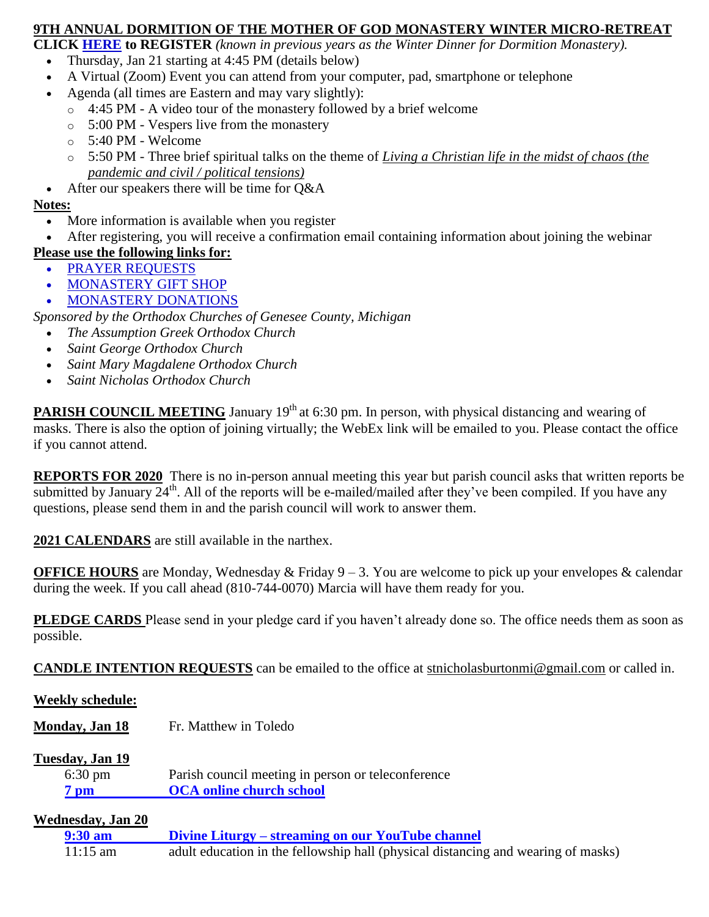#### **9TH ANNUAL DORMITION OF THE MOTHER OF GOD MONASTERY WINTER MICRO-RETREAT**

**CLICK [HERE](https://us02web.zoom.us/webinar/register/5816104861380/WN_IGwcv0RVQOW05kesL6_zmw) to REGISTER** *(known in previous years as the Winter Dinner for Dormition Monastery).*

- Thursday, Jan 21 starting at 4:45 PM (details below)
- A Virtual (Zoom) Event you can attend from your computer, pad, smartphone or telephone
- Agenda (all times are Eastern and may vary slightly):
	- o 4:45 PM A video tour of the monastery followed by a brief welcome
	- $\circ$  5:00 PM Vespers live from the monastery
	- o 5:40 PM Welcome
	- o 5:50 PM Three brief spiritual talks on the theme of *Living a Christian life in the midst of chaos (the pandemic and civil / political tensions)*
- After our speakers there will be time for  $O&A$

### **Notes:**

- More information is available when you register
- After registering, you will receive a confirmation email containing information about joining the webinar

# **Please use the following links for:**

- **[PRAYER REQUESTS](https://dormitionmonastery.org/prayer_requests)**
- [MONASTERY GIFT SHOP](https://dormitionmonasterygiftshop.squarespace.com/)
- [MONASTERY DONATIONS](https://dormitionmonastery.org/donate)

*Sponsored by the Orthodox Churches of Genesee County, Michigan*

- *The Assumption Greek Orthodox Church*
- *Saint George Orthodox Church*
- *Saint Mary Magdalene Orthodox Church*
- *Saint Nicholas Orthodox Church*

**PARISH COUNCIL MEETING** January 19<sup>th</sup> at 6:30 pm. In person, with physical distancing and wearing of masks. There is also the option of joining virtually; the WebEx link will be emailed to you. Please contact the office if you cannot attend.

**REPORTS FOR 2020** There is no in-person annual meeting this year but parish council asks that written reports be submitted by January  $24<sup>th</sup>$ . All of the reports will be e-mailed/mailed after they've been compiled. If you have any questions, please send them in and the parish council will work to answer them.

**2021 CALENDARS** are still available in the narthex.

**OFFICE HOURS** are Monday, Wednesday & Friday 9 – 3. You are welcome to pick up your envelopes & calendar during the week. If you call ahead (810-744-0070) Marcia will have them ready for you.

**PLEDGE CARDS** Please send in your pledge card if you haven't already done so. The office needs them as soon as possible.

**CANDLE INTENTION REQUESTS** can be emailed to the office at [stnicholasburtonmi@gmail.com](mailto:stnicholasburtonmi@gmail.com) or called in.

#### **Weekly schedule:**

**Monday, Jan 18** Fr. Matthew in Toledo

## **Tuesday, Jan 19**

6:30 pm Parish council meeting in person or teleconference **7 pm [OCA online church school](https://www.oca.org/ocs)**

| Wednesdav, Jan 20  |                                                                                   |
|--------------------|-----------------------------------------------------------------------------------|
| $9:30 \text{ am}$  | Divine Liturgy – streaming on our YouTube channel                                 |
| $11:15 \text{ am}$ | adult education in the fellowship hall (physical distancing and wearing of masks) |